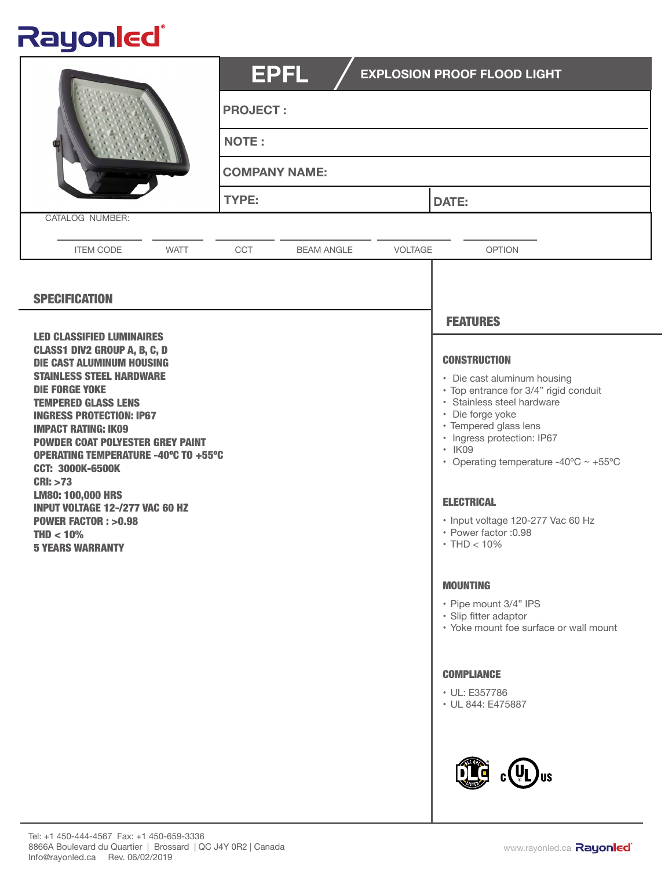## Rayonled®

|                                                                                                                                                                                                                                                                                                                                                                                                                                                                                                                                 | <b>EPFL</b><br><b>PROJECT:</b><br><b>NOTE:</b><br><b>COMPANY NAME:</b><br>TYPE: |         | <b>EXPLOSION PROOF FLOOD LIGHT</b><br><b>DATE:</b>                                                                                                                                                                                                                                                                                                                      |
|---------------------------------------------------------------------------------------------------------------------------------------------------------------------------------------------------------------------------------------------------------------------------------------------------------------------------------------------------------------------------------------------------------------------------------------------------------------------------------------------------------------------------------|---------------------------------------------------------------------------------|---------|-------------------------------------------------------------------------------------------------------------------------------------------------------------------------------------------------------------------------------------------------------------------------------------------------------------------------------------------------------------------------|
| CATALOG NUMBER:                                                                                                                                                                                                                                                                                                                                                                                                                                                                                                                 |                                                                                 |         |                                                                                                                                                                                                                                                                                                                                                                         |
| <b>ITEM CODE</b><br><b>WATT</b>                                                                                                                                                                                                                                                                                                                                                                                                                                                                                                 | CCT<br><b>BEAM ANGLE</b>                                                        | VOLTAGE | <b>OPTION</b>                                                                                                                                                                                                                                                                                                                                                           |
| <b>SPECIFICATION</b><br><b>LED CLASSIFIED LUMINAIRES</b>                                                                                                                                                                                                                                                                                                                                                                                                                                                                        |                                                                                 |         | <b>FEATURES</b>                                                                                                                                                                                                                                                                                                                                                         |
| <b>CLASS1 DIV2 GROUP A, B, C, D</b><br><b>DIE CAST ALUMINUM HOUSING</b><br><b>STAINLESS STEEL HARDWARE</b><br><b>DIE FORGE YOKE</b><br><b>TEMPERED GLASS LENS</b><br><b>INGRESS PROTECTION: IP67</b><br><b>IMPACT RATING: IK09</b><br><b>POWDER COAT POLYESTER GREY PAINT</b><br><b>OPERATING TEMPERATURE -40°C TO +55°C</b><br><b>CCT: 3000K-6500K</b><br><b>CRI: &gt;73</b><br><b>LM80: 100,000 HRS</b><br><b>INPUT VOLTAGE 12-/277 VAC 60 HZ</b><br><b>POWER FACTOR: &gt;0.98</b><br>$THD < 10\%$<br><b>5 YEARS WARRANTY</b> |                                                                                 |         | <b>CONSTRUCTION</b><br>• Die cast aluminum housing<br>· Top entrance for 3/4" rigid conduit<br>· Stainless steel hardware<br>• Die forge yoke<br>· Tempered glass lens<br>· Ingress protection: IP67<br>· IK09<br>• Operating temperature -40°C $\sim$ +55°C<br><b>ELECTRICAL</b><br>· Input voltage 120-277 Vac 60 Hz<br>• Power factor : 0.98<br>$\cdot$ THD $< 10\%$ |
|                                                                                                                                                                                                                                                                                                                                                                                                                                                                                                                                 |                                                                                 |         | <b>MOUNTING</b><br>• Pipe mount 3/4" IPS<br>· Slip fitter adaptor<br>• Yoke mount foe surface or wall mount<br><b>COMPLIANCE</b><br>• UL: E357786<br>• UL 844: E475887                                                                                                                                                                                                  |